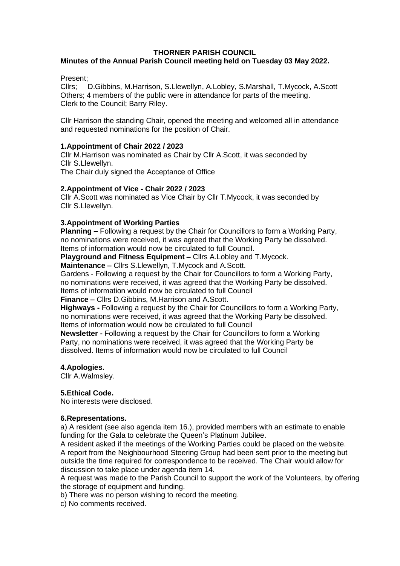#### **THORNER PARISH COUNCIL**

### **Minutes of the Annual Parish Council meeting held on Tuesday 03 May 2022.**

Present;

Cllrs; D.Gibbins, M.Harrison, S.Llewellyn, A.Lobley, S.Marshall, T.Mycock, A.Scott Others; 4 members of the public were in attendance for parts of the meeting. Clerk to the Council; Barry Riley.

Cllr Harrison the standing Chair, opened the meeting and welcomed all in attendance and requested nominations for the position of Chair.

#### **1.Appointment of Chair 2022 / 2023**

Cllr M.Harrison was nominated as Chair by Cllr A.Scott, it was seconded by Cllr S.Llewellyn.

The Chair duly signed the Acceptance of Office

#### **2.Appointment of Vice - Chair 2022 / 2023**

Cllr A.Scott was nominated as Vice Chair by Cllr T.Mycock, it was seconded by Cllr S.Llewellyn.

#### **3.Appointment of Working Parties**

**Planning –** Following a request by the Chair for Councillors to form a Working Party, no nominations were received, it was agreed that the Working Party be dissolved. Items of information would now be circulated to full Council.

**Playground and Fitness Equipment –** Cllrs A.Lobley and T.Mycock.

**Maintenance –** Cllrs S.Llewellyn, T.Mycock and A.Scott.

Gardens - Following a request by the Chair for Councillors to form a Working Party, no nominations were received, it was agreed that the Working Party be dissolved. Items of information would now be circulated to full Council

**Finance –** Cllrs D.Gibbins, M.Harrison and A.Scott.

**Highways -** Following a request by the Chair for Councillors to form a Working Party, no nominations were received, it was agreed that the Working Party be dissolved. Items of information would now be circulated to full Council

**Newsletter -** Following a request by the Chair for Councillors to form a Working Party, no nominations were received, it was agreed that the Working Party be dissolved. Items of information would now be circulated to full Council

#### **4.Apologies.**

Cllr A.Walmsley.

#### **5.Ethical Code.**

No interests were disclosed.

#### **6.Representations.**

a) A resident (see also agenda item 16.), provided members with an estimate to enable funding for the Gala to celebrate the Queen's Platinum Jubilee.

A resident asked if the meetings of the Working Parties could be placed on the website. A report from the Neighbourhood Steering Group had been sent prior to the meeting but outside the time required for correspondence to be received. The Chair would allow for discussion to take place under agenda item 14.

A request was made to the Parish Council to support the work of the Volunteers, by offering the storage of equipment and funding.

b) There was no person wishing to record the meeting.

c) No comments received.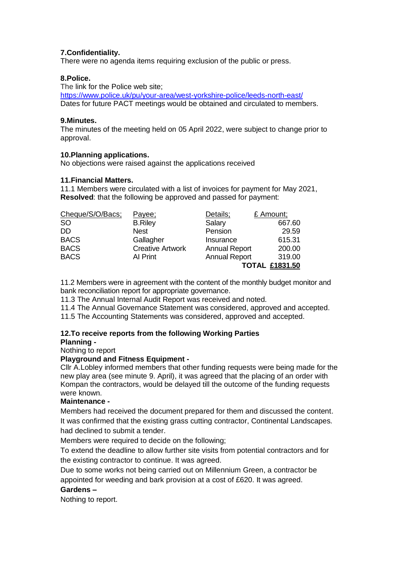#### **7.Confidentiality.**

There were no agenda items requiring exclusion of the public or press.

#### **8.Police.**

The link for the Police web site;

<https://www.police.uk/pu/your-area/west-yorkshire-police/leeds-north-east/> Dates for future PACT meetings would be obtained and circulated to members.

#### **9.Minutes.**

The minutes of the meeting held on 05 April 2022, were subject to change prior to approval.

#### **10.Planning applications.**

No objections were raised against the applications received

#### **11.Financial Matters.**

11.1 Members were circulated with a list of invoices for payment for May 2021, **Resolved**: that the following be approved and passed for payment:

| Cheque/S/O/Bacs; | Payee;                  | Details;             | £ Amount;             |
|------------------|-------------------------|----------------------|-----------------------|
| <b>SO</b>        | <b>B.Riley</b>          | Salary               | 667.60                |
| DD               | <b>Nest</b>             | Pension              | 29.59                 |
| <b>BACS</b>      | Gallagher               | Insurance            | 615.31                |
| <b>BACS</b>      | <b>Creative Artwork</b> | <b>Annual Report</b> | 200.00                |
| <b>BACS</b>      | Al Print                | <b>Annual Report</b> | 319.00                |
|                  |                         |                      | <b>TOTAL £1831.50</b> |

11.2 Members were in agreement with the content of the monthly budget monitor and bank reconciliation report for appropriate governance.

11.3 The Annual Internal Audit Report was received and noted.

11.4 The Annual Governance Statement was considered, approved and accepted.

11.5 The Accounting Statements was considered, approved and accepted.

## **12.To receive reports from the following Working Parties**

#### **Planning -**

Nothing to report

#### **Playground and Fitness Equipment -**

Cllr A.Lobley informed members that other funding requests were being made for the new play area (see minute 9. April), it was agreed that the placing of an order with Kompan the contractors, would be delayed till the outcome of the funding requests were known.

#### **Maintenance -**

Members had received the document prepared for them and discussed the content. It was confirmed that the existing grass cutting contractor, Continental Landscapes. had declined to submit a tender.

Members were required to decide on the following;

To extend the deadline to allow further site visits from potential contractors and for the existing contractor to continue. It was agreed.

Due to some works not being carried out on Millennium Green, a contractor be appointed for weeding and bark provision at a cost of £620. It was agreed.

#### **Gardens –**

Nothing to report.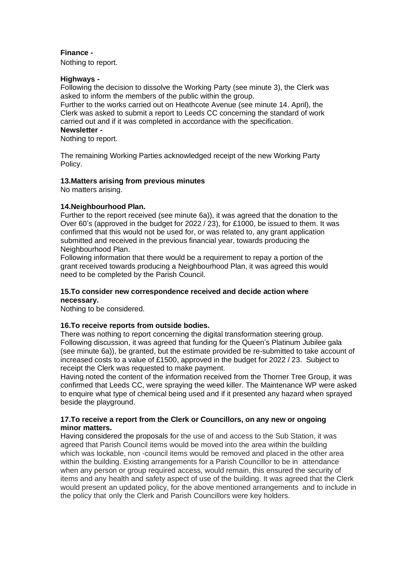#### **Finance -**

Nothing to report.

#### **Highways -**

Following the decision to dissolve the Working Party (see minute 3), the Clerk was asked to inform the members of the public within the group.

Further to the works carried out on Heathcote Avenue (see minute 14. April), the Clerk was asked to submit a report to Leeds CC concerning the standard of work carried out and if it was completed in accordance with the specification. **Newsletter -**

Nothing to report.

The remaining Working Parties acknowledged receipt of the new Working Party Policy.

#### **13.Matters arising from previous minutes**

No matters arising.

#### **14.Neighbourhood Plan.**

Further to the report received (see minute 6a)), it was agreed that the donation to the Over 60's (approved in the budget for 2022 / 23), for £1000, be issued to them. It was confirmed that this would not be used for, or was related to, any grant application submitted and received in the previous financial year, towards producing the Neighbourhood Plan.

Following information that there would be a requirement to repay a portion of the grant received towards producing a Neighbourhood Plan, it was agreed this would need to be completed by the Parish Council.

#### **15.To consider new correspondence received and decide action where necessary.**

Nothing to be considered.

#### **16.To receive reports from outside bodies.**

There was nothing to report concerning the digital transformation steering group. Following discussion, it was agreed that funding for the Queen's Platinum Jubilee gala (see minute 6a)), be granted, but the estimate provided be re-submitted to take account of increased costs to a value of £1500, approved in the budget for 2022 / 23. Subject to receipt the Clerk was requested to make payment.

Having noted the content of the information received from the Thorner Tree Group, it was confirmed that Leeds CC, were spraying the weed killer. The Maintenance WP were asked to enquire what type of chemical being used and if it presented any hazard when sprayed beside the playground.

#### **17.To receive a report from the Clerk or Councillors, on any new or ongoing minor matters.**

Having considered the proposals for the use of and access to the Sub Station, it was agreed that Parish Council items would be moved into the area within the building which was lockable, non -council items would be removed and placed in the other area within the building. Existing arrangements for a Parish Councillor to be in attendance when any person or group required access, would remain, this ensured the security of items and any health and safety aspect of use of the building. It was agreed that the Clerk would present an updated policy, for the above mentioned arrangements and to include in the policy that only the Clerk and Parish Councillors were key holders.